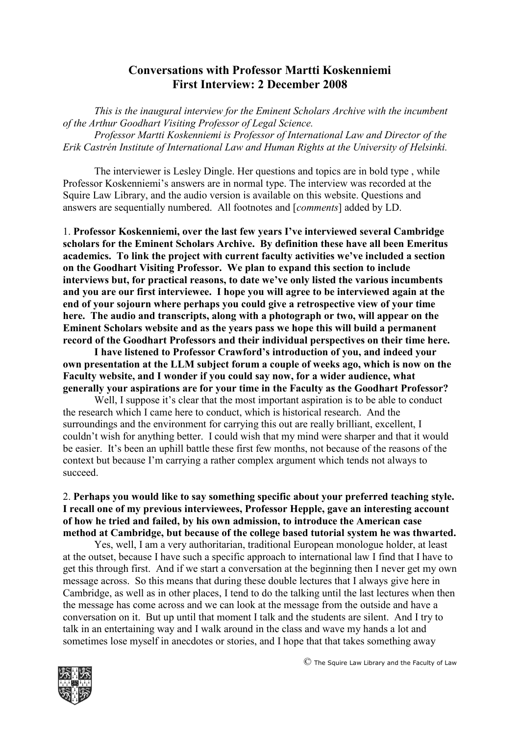# **Conversations with Professor Martti Koskenniemi First Interview: 2 December 2008**

*This is the inaugural interview for the Eminent Scholars Archive with the incumbent of the Arthur Goodhart Visiting Professor of Legal Science. Professor Martti Koskenniemi is Professor of International Law and Director of the Erik Castrén Institute of International Law and Human Rights at the University of Helsinki.*

The interviewer is Lesley Dingle. Her questions and topics are in bold type , while Professor Koskenniemi's answers are in normal type. The interview was recorded at the Squire Law Library, and the audio version is available on this website. Questions and answers are sequentially numbered. All footnotes and [*comments*] added by LD.

1. **Professor Koskenniemi, over the last few years I've interviewed several Cambridge scholars for the Eminent Scholars Archive. By definition these have all been Emeritus academics. To link the project with current faculty activities we've included a section on the Goodhart Visiting Professor. We plan to expand this section to include interviews but, for practical reasons, to date we've only listed the various incumbents and you are our first interviewee. I hope you will agree to be interviewed again at the end of your sojourn where perhaps you could give a retrospective view of your time here. The audio and transcripts, along with a photograph or two, will appear on the Eminent Scholars website and as the years pass we hope this will build a permanent record of the Goodhart Professors and their individual perspectives on their time here.**

**I have listened to Professor Crawford's introduction of you, and indeed your own presentation at the LLM subject forum a couple of weeks ago, which is now on the Faculty website, and I wonder if you could say now, for a wider audience, what generally your aspirations are for your time in the Faculty as the Goodhart Professor?**

Well, I suppose it's clear that the most important aspiration is to be able to conduct the research which I came here to conduct, which is historical research. And the surroundings and the environment for carrying this out are really brilliant, excellent, I couldn't wish for anything better. I could wish that my mind were sharper and that it would be easier. It's been an uphill battle these first few months, not because of the reasons of the context but because I'm carrying a rather complex argument which tends not always to succeed.

#### 2. **Perhaps you would like to say something specific about your preferred teaching style. I recall one of my previous interviewees, Professor Hepple, gave an interesting account of how he tried and failed, by his own admission, to introduce the American case method at Cambridge, but because of the college based tutorial system he was thwarted.**

Yes, well, I am a very authoritarian, traditional European monologue holder, at least at the outset, because I have such a specific approach to international law I find that I have to get this through first. And if we start a conversation at the beginning then I never get my own message across. So this means that during these double lectures that I always give here in Cambridge, as well as in other places, I tend to do the talking until the last lectures when then the message has come across and we can look at the message from the outside and have a conversation on it. But up until that moment I talk and the students are silent. And I try to talk in an entertaining way and I walk around in the class and wave my hands a lot and sometimes lose myself in anecdotes or stories, and I hope that that takes something away

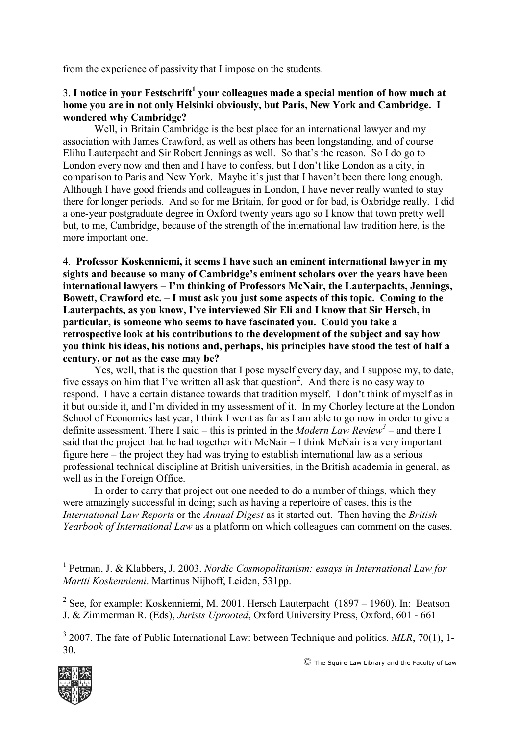from the experience of passivity that I impose on the students.

# 3. **I notice in your Festschrift<sup>1</sup> your colleagues made a special mention of how much at home you are in not only Helsinki obviously, but Paris, New York and Cambridge. I wondered why Cambridge?**

Well, in Britain Cambridge is the best place for an international lawyer and my association with James Crawford, as well as others has been longstanding, and of course Elihu Lauterpacht and Sir Robert Jennings as well. So that's the reason. So I do go to London every now and then and I have to confess, but I don't like London as a city, in comparison to Paris and New York. Maybe it's just that I haven't been there long enough. Although I have good friends and colleagues in London, I have never really wanted to stay there for longer periods. And so for me Britain, for good or for bad, is Oxbridge really. I did a one-year postgraduate degree in Oxford twenty years ago so I know that town pretty well but, to me, Cambridge, because of the strength of the international law tradition here, is the more important one.

4. **Professor Koskenniemi, it seems I have such an eminent international lawyer in my sights and because so many of Cambridge's eminent scholars over the years have been international lawyers – I'm thinking of Professors McNair, the Lauterpachts, Jennings, Bowett, Crawford etc. – I must ask you just some aspects of this topic. Coming to the Lauterpachts, as you know, I've interviewed Sir Eli and I know that Sir Hersch, in particular, is someone who seems to have fascinated you. Could you take a retrospective look at his contributions to the development of the subject and say how you think his ideas, his notions and, perhaps, his principles have stood the test of half a century, or not as the case may be?**

Yes, well, that is the question that I pose myself every day, and I suppose my, to date, five essays on him that I've written all ask that question<sup>2</sup>. And there is no easy way to respond. I have a certain distance towards that tradition myself. I don't think of myself as in it but outside it, and I'm divided in my assessment of it. In my Chorley lecture at the London School of Economics last year, I think I went as far as I am able to go now in order to give a definite assessment. There I said – this is printed in the *Modern Law Review<sup>3</sup>* – and there I said that the project that he had together with McNair – I think McNair is a very important figure here – the project they had was trying to establish international law as a serious professional technical discipline at British universities, in the British academia in general, as well as in the Foreign Office.

In order to carry that project out one needed to do a number of things, which they were amazingly successful in doing; such as having a repertoire of cases, this is the *International Law Reports* or the *Annual Digest* as it started out. Then having the *British Yearbook of International Law* as a platform on which colleagues can comment on the cases.

<sup>&</sup>lt;sup>3</sup> 2007. The fate of Public International Law: between Technique and politics. *MLR*, 70(1), 1-30.



1

<sup>&</sup>lt;sup>1</sup> Petman, J. & Klabbers, J. 2003. *Nordic Cosmopolitanism: essays in International Law for Martti Koskenniemi*. Martinus Nijhoff, Leiden, 531pp.

<sup>&</sup>lt;sup>2</sup> See, for example: Koskenniemi, M. 2001. Hersch Lauterpacht (1897 – 1960). In: Beatson J. & Zimmerman R. (Eds), *Jurists Uprooted*, Oxford University Press, Oxford, 601 - 661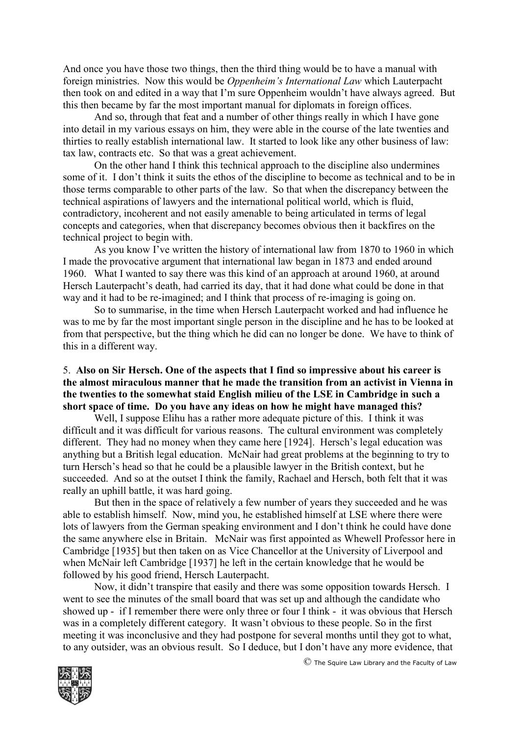And once you have those two things, then the third thing would be to have a manual with foreign ministries. Now this would be *Oppenheim's International Law* which Lauterpacht then took on and edited in a way that I'm sure Oppenheim wouldn't have always agreed. But this then became by far the most important manual for diplomats in foreign offices.

And so, through that feat and a number of other things really in which I have gone into detail in my various essays on him, they were able in the course of the late twenties and thirties to really establish international law. It started to look like any other business of law: tax law, contracts etc. So that was a great achievement.

On the other hand I think this technical approach to the discipline also undermines some of it. I don't think it suits the ethos of the discipline to become as technical and to be in those terms comparable to other parts of the law. So that when the discrepancy between the technical aspirations of lawyers and the international political world, which is fluid, contradictory, incoherent and not easily amenable to being articulated in terms of legal concepts and categories, when that discrepancy becomes obvious then it backfires on the technical project to begin with.

As you know I've written the history of international law from 1870 to 1960 in which I made the provocative argument that international law began in 1873 and ended around 1960. What I wanted to say there was this kind of an approach at around 1960, at around Hersch Lauterpacht's death, had carried its day, that it had done what could be done in that way and it had to be re-imagined; and I think that process of re-imaging is going on.

So to summarise, in the time when Hersch Lauterpacht worked and had influence he was to me by far the most important single person in the discipline and he has to be looked at from that perspective, but the thing which he did can no longer be done. We have to think of this in a different way.

#### 5. **Also on Sir Hersch. One of the aspects that I find so impressive about his career is the almost miraculous manner that he made the transition from an activist in Vienna in the twenties to the somewhat staid English milieu of the LSE in Cambridge in such a short space of time. Do you have any ideas on how he might have managed this?**

Well, I suppose Elihu has a rather more adequate picture of this. I think it was difficult and it was difficult for various reasons. The cultural environment was completely different. They had no money when they came here [1924]. Hersch's legal education was anything but a British legal education. McNair had great problems at the beginning to try to turn Hersch's head so that he could be a plausible lawyer in the British context, but he succeeded. And so at the outset I think the family, Rachael and Hersch, both felt that it was really an uphill battle, it was hard going.

But then in the space of relatively a few number of years they succeeded and he was able to establish himself. Now, mind you, he established himself at LSE where there were lots of lawyers from the German speaking environment and I don't think he could have done the same anywhere else in Britain. McNair was first appointed as Whewell Professor here in Cambridge [1935] but then taken on as Vice Chancellor at the University of Liverpool and when McNair left Cambridge [1937] he left in the certain knowledge that he would be followed by his good friend, Hersch Lauterpacht.

Now, it didn't transpire that easily and there was some opposition towards Hersch. I went to see the minutes of the small board that was set up and although the candidate who showed up - if I remember there were only three or four I think - it was obvious that Hersch was in a completely different category. It wasn't obvious to these people. So in the first meeting it was inconclusive and they had postpone for several months until they got to what, to any outsider, was an obvious result. So I deduce, but I don't have any more evidence, that



© The Squire Law Library and the Faculty of Law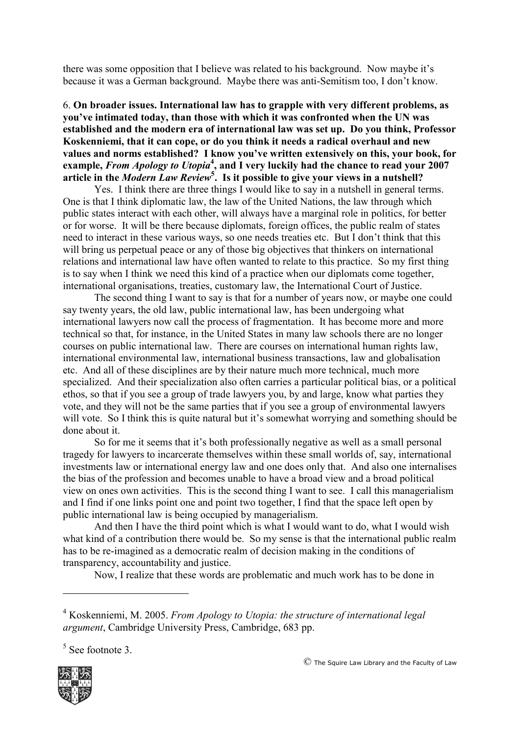there was some opposition that I believe was related to his background. Now maybe it's because it was a German background. Maybe there was anti-Semitism too, I don't know.

### 6. **On broader issues. International law has to grapple with very different problems, as you've intimated today, than those with which it was confronted when the UN was established and the modern era of international law was set up. Do you think, Professor Koskenniemi, that it can cope, or do you think it needs a radical overhaul and new values and norms established? I know you've written extensively on this, your book, for**  example, *From Apology to Utopia*<sup>4</sup>, and I very luckily had the chance to read your 2007 **article in the** *Modern Law Review***<sup>5</sup> . Is it possible to give your views in a nutshell?**

Yes. I think there are three things I would like to say in a nutshell in general terms. One is that I think diplomatic law, the law of the United Nations, the law through which public states interact with each other, will always have a marginal role in politics, for better or for worse. It will be there because diplomats, foreign offices, the public realm of states need to interact in these various ways, so one needs treaties etc. But I don't think that this will bring us perpetual peace or any of those big objectives that thinkers on international relations and international law have often wanted to relate to this practice. So my first thing is to say when I think we need this kind of a practice when our diplomats come together, international organisations, treaties, customary law, the International Court of Justice.

The second thing I want to say is that for a number of years now, or maybe one could say twenty years, the old law, public international law, has been undergoing what international lawyers now call the process of fragmentation. It has become more and more technical so that, for instance, in the United States in many law schools there are no longer courses on public international law. There are courses on international human rights law, international environmental law, international business transactions, law and globalisation etc. And all of these disciplines are by their nature much more technical, much more specialized. And their specialization also often carries a particular political bias, or a political ethos, so that if you see a group of trade lawyers you, by and large, know what parties they vote, and they will not be the same parties that if you see a group of environmental lawyers will vote. So I think this is quite natural but it's somewhat worrying and something should be done about it.

So for me it seems that it's both professionally negative as well as a small personal tragedy for lawyers to incarcerate themselves within these small worlds of, say, international investments law or international energy law and one does only that. And also one internalises the bias of the profession and becomes unable to have a broad view and a broad political view on ones own activities. This is the second thing I want to see. I call this managerialism and I find if one links point one and point two together, I find that the space left open by public international law is being occupied by managerialism.

And then I have the third point which is what I would want to do, what I would wish what kind of a contribution there would be. So my sense is that the international public realm has to be re-imagined as a democratic realm of decision making in the conditions of transparency, accountability and justice.

Now, I realize that these words are problematic and much work has to be done in

<sup>5</sup> See footnote 3.



<u>.</u>

<sup>4</sup> Koskenniemi, M. 2005. *From Apology to Utopia: the structure of international legal argument*, Cambridge University Press, Cambridge, 683 pp.